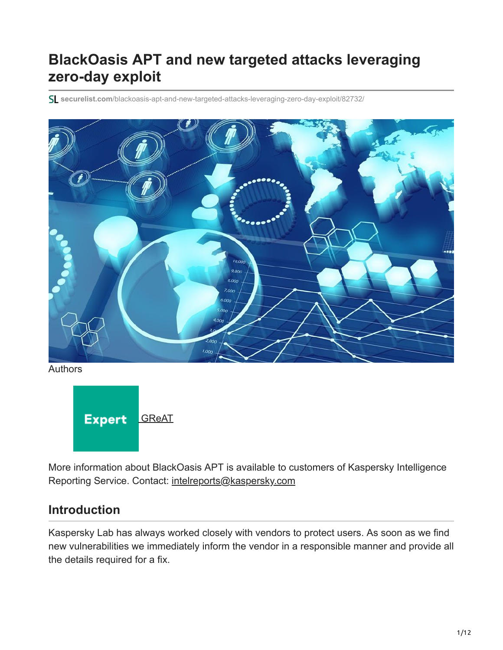# **BlackOasis APT and new targeted attacks leveraging zero-day exploit**

**securelist.com**[/blackoasis-apt-and-new-targeted-attacks-leveraging-zero-day-exploit/82732/](https://securelist.com/blackoasis-apt-and-new-targeted-attacks-leveraging-zero-day-exploit/82732/)



Authors



More information about BlackOasis APT is available to customers of Kaspersky Intelligence Reporting Service. Contact: [intelreports@kaspersky.com](http://10.10.0.46/mailto:intelreports@kaspersky.com)

### **Introduction**

Kaspersky Lab has always worked closely with vendors to protect users. As soon as we find new vulnerabilities we immediately inform the vendor in a responsible manner and provide all the details required for a fix.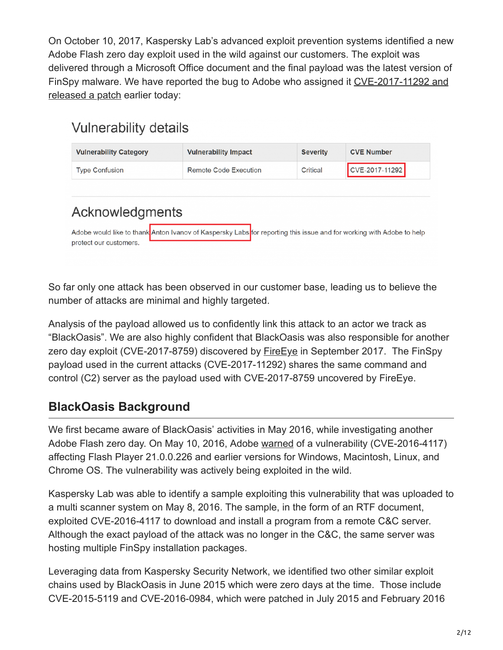On October 10, 2017, Kaspersky Lab's advanced exploit prevention systems identified a new Adobe Flash zero day exploit used in the wild against our customers. The exploit was delivered through a Microsoft Office document and the final payload was the latest version of [FinSpy malware. We have reported the bug to Adobe who assigned it CVE-2017-11292 and](https://helpx.adobe.com/security/products/flash-player/apsb17-32.html) released a patch earlier today:

# **Vulnerability details**

| <b>Vulnerability Category</b> | <b>Vulnerability Impact</b> | <b>Severity</b> | <b>CVE Number</b> |
|-------------------------------|-----------------------------|-----------------|-------------------|
| <b>Type Confusion</b>         | Remote Code Execution       | Critical        | $CCVE-2017-11292$ |

# Acknowledgments

Adobe would like to thank Anton Ivanov of Kaspersky Labs for reporting this issue and for working with Adobe to help protect our customers.

So far only one attack has been observed in our customer base, leading us to believe the number of attacks are minimal and highly targeted.

Analysis of the payload allowed us to confidently link this attack to an actor we track as "BlackOasis". We are also highly confident that BlackOasis was also responsible for another zero day exploit (CVE-2017-8759) discovered by **[FireEye](https://www.fireeye.com/blog/threat-research/2017/09/zero-day-used-to-distribute-finspy.html)** in September 2017. The FinSpy payload used in the current attacks (CVE-2017-11292) shares the same command and control (C2) server as the payload used with CVE-2017-8759 uncovered by FireEye.

## **BlackOasis Background**

We first became aware of BlackOasis' activities in May 2016, while investigating another Adobe Flash zero day. On May 10, 2016, Adobe [warned](https://helpx.adobe.com/security/products/flash-player/apsa16-02.html) of a vulnerability (CVE-2016-4117) affecting Flash Player 21.0.0.226 and earlier versions for Windows, Macintosh, Linux, and Chrome OS. The vulnerability was actively being exploited in the wild.

Kaspersky Lab was able to identify a sample exploiting this vulnerability that was uploaded to a multi scanner system on May 8, 2016. The sample, in the form of an RTF document, exploited CVE-2016-4117 to download and install a program from a remote C&C server. Although the exact payload of the attack was no longer in the C&C, the same server was hosting multiple FinSpy installation packages.

Leveraging data from Kaspersky Security Network, we identified two other similar exploit chains used by BlackOasis in June 2015 which were zero days at the time. Those include CVE-2015-5119 and CVE-2016-0984, which were patched in July 2015 and February 2016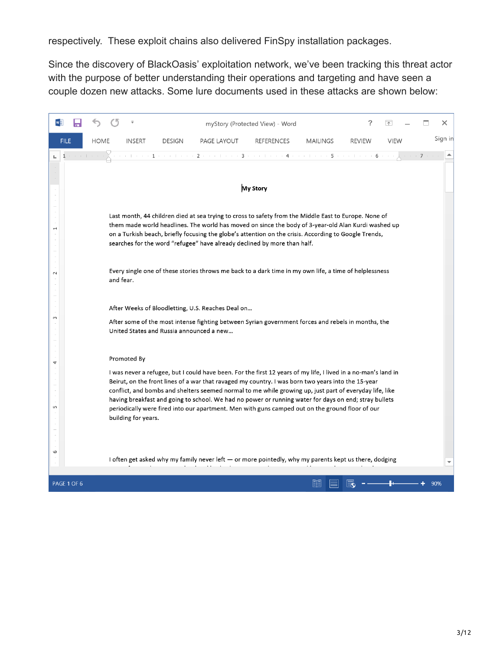respectively. These exploit chains also delivered FinSpy installation packages.

Since the discovery of BlackOasis' exploitation network, we've been tracking this threat actor with the purpose of better understanding their operations and targeting and have seen a couple dozen new attacks. Some lure documents used in these attacks are shown below:

|                            |                                          |               |                                                                                                                                                                                                                                                                                                                                                                                                                                                                                                                                             | myStory (Protected View) - Word |                 |               |             |  |  | x       |  |  |  |  |
|----------------------------|------------------------------------------|---------------|---------------------------------------------------------------------------------------------------------------------------------------------------------------------------------------------------------------------------------------------------------------------------------------------------------------------------------------------------------------------------------------------------------------------------------------------------------------------------------------------------------------------------------------------|---------------------------------|-----------------|---------------|-------------|--|--|---------|--|--|--|--|
| <b>HOME</b><br><b>FILE</b> | <b>INSERT</b>                            | <b>DESIGN</b> | PAGE LAYOUT                                                                                                                                                                                                                                                                                                                                                                                                                                                                                                                                 | <b>REFERENCES</b>               | <b>MAILINGS</b> | <b>REVIEW</b> | <b>VIEW</b> |  |  | Sign in |  |  |  |  |
|                            |                                          |               | The condition of the condition of the condition of the condition of $\mathbf{5}$ condition on $\mathbf{6}$ conditions                                                                                                                                                                                                                                                                                                                                                                                                                       |                                 |                 |               |             |  |  |         |  |  |  |  |
|                            |                                          |               |                                                                                                                                                                                                                                                                                                                                                                                                                                                                                                                                             | My Story                        |                 |               |             |  |  |         |  |  |  |  |
|                            |                                          |               |                                                                                                                                                                                                                                                                                                                                                                                                                                                                                                                                             |                                 |                 |               |             |  |  |         |  |  |  |  |
|                            |                                          |               | Last month, 44 children died at sea trying to cross to safety from the Middle East to Europe. None of<br>them made world headlines. The world has moved on since the body of 3-year-old Alan Kurdi washed up<br>on a Turkish beach, briefly focusing the globe's attention on the crisis. According to Google Trends,<br>searches for the word "refugee" have already declined by more than half.                                                                                                                                           |                                 |                 |               |             |  |  |         |  |  |  |  |
| $\sim$                     | and fear.                                |               | Every single one of these stories throws me back to a dark time in my own life, a time of helplessness                                                                                                                                                                                                                                                                                                                                                                                                                                      |                                 |                 |               |             |  |  |         |  |  |  |  |
|                            |                                          |               | After Weeks of Bloodletting, U.S. Reaches Deal on                                                                                                                                                                                                                                                                                                                                                                                                                                                                                           |                                 |                 |               |             |  |  |         |  |  |  |  |
| 3                          | United States and Russia announced a new |               | After some of the most intense fighting between Syrian government forces and rebels in months, the                                                                                                                                                                                                                                                                                                                                                                                                                                          |                                 |                 |               |             |  |  |         |  |  |  |  |
| 4                          | Promoted By                              |               |                                                                                                                                                                                                                                                                                                                                                                                                                                                                                                                                             |                                 |                 |               |             |  |  |         |  |  |  |  |
| S                          | building for years.                      |               | I was never a refugee, but I could have been. For the first 12 years of my life, I lived in a no-man's land in<br>Beirut, on the front lines of a war that ravaged my country. I was born two years into the 15-year<br>conflict, and bombs and shelters seemed normal to me while growing up, just part of everyday life, like<br>having breakfast and going to school. We had no power or running water for days on end; stray bullets<br>periodically were fired into our apartment. Men with guns camped out on the ground floor of our |                                 |                 |               |             |  |  |         |  |  |  |  |
| w<br>PAGE 1 OF 6           |                                          |               | I often get asked why my family never left - or more pointedly, why my parents kept us there, dodging                                                                                                                                                                                                                                                                                                                                                                                                                                       |                                 | 間目              |               |             |  |  | 90%     |  |  |  |  |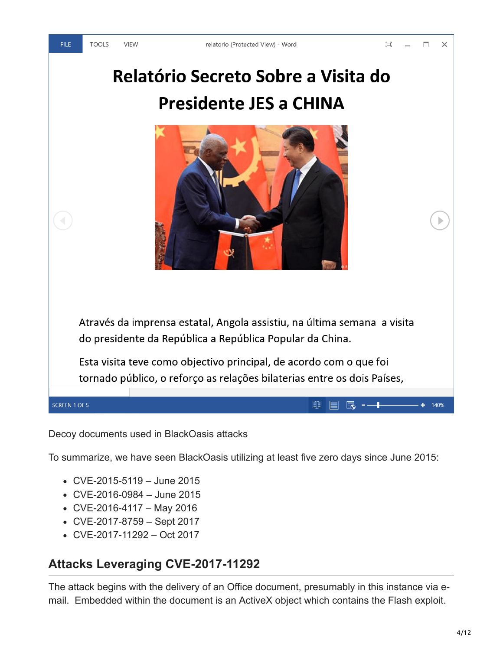# Relatório Secreto Sobre a Visita do **Presidente JES a CHINA**



Através da imprensa estatal, Angola assistiu, na última semana a visita do presidente da República a República Popular da China.

Esta visita teve como objectivo principal, de acordo com o que foi tornado público, o reforço as relações bilaterias entre os dois Países,

> 顫 e

| 最 -—|

 $+ 140%$ 

SCREEN 1 OF 5

Decoy documents used in BlackOasis attacks

To summarize, we have seen BlackOasis utilizing at least five zero days since June 2015:

- CVE-2015-5119 June 2015
- CVE-2016-0984 June 2015
- $\bullet$  CVE-2016-4117 May 2016
- CVE-2017-8759 Sept 2017
- CVE-2017-11292 Oct 2017

#### **Attacks Leveraging CVE-2017-11292**

The attack begins with the delivery of an Office document, presumably in this instance via email. Embedded within the document is an ActiveX object which contains the Flash exploit.

**FILE**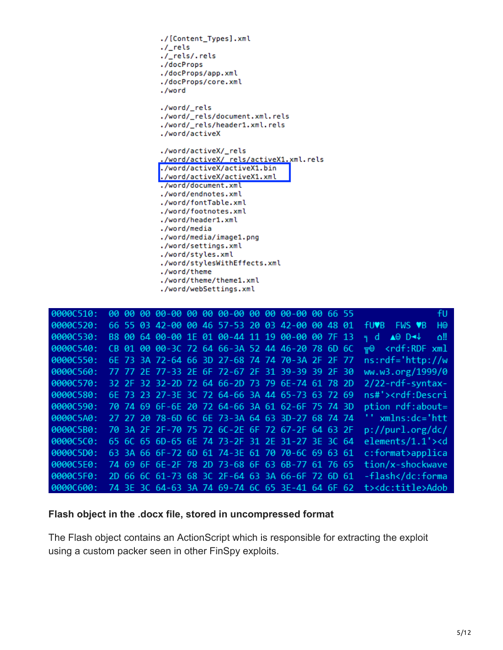

| 0000C510: |  |                                                 |  |  |  |  | fU.                                                  |
|-----------|--|-------------------------------------------------|--|--|--|--|------------------------------------------------------|
| 0000C520: |  | 66 55 03 42-00 00 46 57-53 20 03 42-00 00 48 01 |  |  |  |  | H <sub>®</sub><br>FWS V <sub>B</sub><br><b>fuvb</b>  |
| 0000C530: |  | B8 00 64 00-00 1E 01 00-44 11 19 00-00 00 7F 13 |  |  |  |  | ‼ه<br>$\triangle$ <sup>0</sup> D $\triangle$<br>≒ di |
| 0000C540: |  | CB 01 00 00-3C 72 64 66-3A 52 44 46-20 78 6D 6C |  |  |  |  | $\overline{r}$ <rdf:rdf td="" xml<=""></rdf:rdf>     |
| 0000C550: |  | 6E 73 3A 72-64 66 3D 27-68 74 74 70-3A 2F 2F 77 |  |  |  |  | $ns: rdf='http://w$                                  |
| 0000C560: |  | 77 77 2E 77-33 2E 6F 72-67 2F 31 39-39 39 2F 30 |  |  |  |  | ww.w3.org/1999/0                                     |
| 0000C570: |  | 32 2F 32 32-2D 72 64 66-2D 73 79 6E-74 61 78 2D |  |  |  |  | $2/22$ -rdf-syntax-                                  |
| 0000C580: |  | 6E 73 23 27-3E 3C 72 64-66 3A 44 65-73 63 72 69 |  |  |  |  | ns#'> <rdf:descri< td=""></rdf:descri<>              |
| 0000C590: |  | 70 74 69 6F-6E 20 72 64-66 3A 61 62-6F 75 74 3D |  |  |  |  | ption rdf:about=                                     |
| 0000C5A0: |  | 27 27 20 78-6D 6C 6E 73-3A 64 63 3D-27 68 74 74 |  |  |  |  | '' xmlns:dc='htt                                     |
| 0000C5B0: |  | 70 3A 2F 2F-70 75 72 6C-2E 6F 72 67-2F 64 63 2F |  |  |  |  | p://purl.org/dc/                                     |
| 0000C5C0: |  | 65 6C 65 6D-65 6E 74 73-2F 31 2E 31-27 3E 3C 64 |  |  |  |  | elements/1.1'> <d< td=""></d<>                       |
| 0000C5D0: |  | 63 3A 66 6F-72 6D 61 74-3E 61 70 70-6C 69 63 61 |  |  |  |  | c:format>applica                                     |
| 0000C5E0: |  | 74 69 6F 6E-2F 78 2D 73-68 6F 63 6B-77 61 76 65 |  |  |  |  | tion/x-shockwave                                     |
| 0000C5F0: |  | 2D 66 6C 61-73 68 3C 2F-64 63 3A 66-6F 72 6D 61 |  |  |  |  | -flash                                               |
| 0000C600: |  | 74 3E 3C 64-63 3A 74 69-74 6C 65 3E-41 64 6F 62 |  |  |  |  | t> <dc:title>Adob</dc:title>                         |

#### **Flash object in the .docx file, stored in uncompressed format**

The Flash object contains an ActionScript which is responsible for extracting the exploit using a custom packer seen in other FinSpy exploits.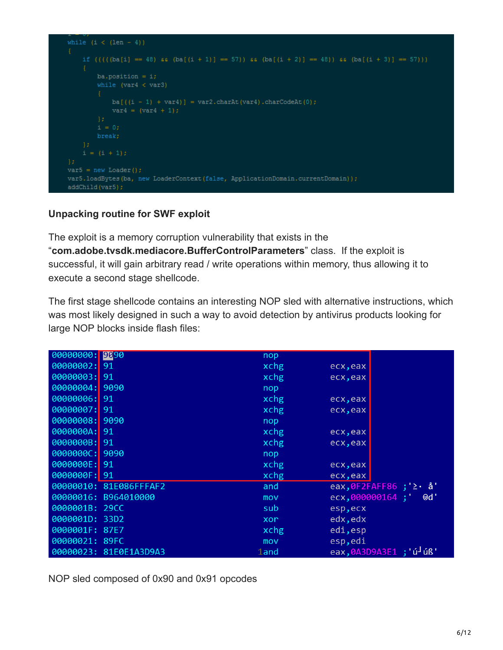

#### **Unpacking routine for SWF exploit**

The exploit is a memory corruption vulnerability that exists in the "**com.adobe.tvsdk.mediacore.BufferControlParameters**" class. If the exploit is successful, it will gain arbitrary read / write operations within memory, thus allowing it to execute a second stage shellcode.

The first stage shellcode contains an interesting NOP sled with alternative instructions, which was most likely designed in such a way to avoid detection by antivirus products looking for large NOP blocks inside flash files:

| 00000000: 9090 |                        | nop     |                                    |
|----------------|------------------------|---------|------------------------------------|
| 00000002: 91   |                        | xchg    | ecx, eax                           |
| 00000003: 91   |                        | xchg    | ecx, eax                           |
| 00000004: 9090 |                        | nop     |                                    |
| 00000006: 91   |                        | xchg    | ecx, eax                           |
| 00000007: 91   |                        | xchg    | ecx, eax                           |
| 00000008: 9090 |                        | nop     |                                    |
| 0000000A: 91   |                        | xchg    | ecx, eax                           |
| 0000000B: 91   |                        | xchg    | ecx, eax                           |
| 0000000C: 9090 |                        | nop     |                                    |
| 0000000E: 91   |                        | xchg    | ecx, eax                           |
| 0000000F: 91   |                        | xchg    | ecx, eax                           |
|                | 00000010: 81E086FFFAF2 | and     | eax, $0$ F2FAFF86; ' $\ge$ · $a'$  |
|                | 00000016: B964010000   | mov     | ecx,000000164 ; ' 0d'              |
| 0000001B: 29CC |                        | sub     | esp, ecx                           |
| 0000001D: 33D2 |                        | xor     | edx, edx                           |
| 0000001F: 87E7 |                        | xchg    | edi, esp                           |
| 00000021: 89FC |                        | mov     | esp, edi                           |
|                | 00000023: 81E0E1A3D9A3 | $1$ and | eax,0A3D9A3E1 ; ú <sup>J</sup> úß' |

NOP sled composed of 0x90 and 0x91 opcodes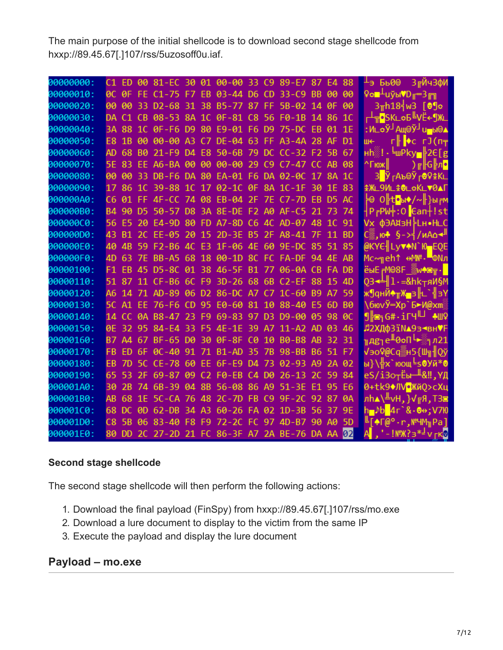The main purpose of the initial shellcode is to download second stage shellcode from hxxp://89.45.67[.]107/rss/5uzosoff0u.iaf.

| 00000000: |     |              | C1 ED 00 81-EC 30 01 00-00 33 C9 89-E7 87 E4 88 |  |                         |  |     |                   | ⊥э Бь0⊕ 3гЙч3фИ                                                                                                 |
|-----------|-----|--------------|-------------------------------------------------|--|-------------------------|--|-----|-------------------|-----------------------------------------------------------------------------------------------------------------|
| 00000010: |     |              | 0C 0F FE C1-75 F7 EB 03-44 D6 CD 33-C9 BB 00 00 |  |                         |  |     |                   | 9 <b>° +</b> подруга друг                                                                                       |
| 00000020: |     |              | 00 00 33 D2-68 31 38 B5-77 87 FF 5B-02 14 0F 00 |  |                         |  |     |                   | $3\pi h$ 18   $\theta$ 90                                                                                       |
| 00000030: |     |              | DA C1 CB 08-53 8A 1C 0F-81 C8 56 F0-1B 14 86 1C |  |                         |  |     |                   | ┌┴╦ <mark>∙</mark> ЅK∟ѻҔ╚⋁Ё←¶Ж∟                                                                                 |
| 00000040: |     |              | 3A 88 1C 0F-F6 D9 80 E9-01 F6 D9 75-DC EB 01 1E |  |                         |  |     |                   | <u>:И∟оЎ┘Ащ</u> ⊚Ў┘u—ы©▲                                                                                        |
| 00000050: |     |              | E8 1B 00 00-00 A3 C7 DE-04 63 FF A3-4A 28 AF D1 |  |                         |  |     |                   | r∦ <mark>I</mark> +c rJ(n <del>∓</del><br>Ш€                                                                    |
| 00000060: |     |              | AD 68 B0 21-F9 D4 E8 50-6B 79 DC CC-32 F2 5B 67 |  |                         |  |     |                   |                                                                                                                 |
| 00000070: |     |              | 5E 83 EE A6-BA 00 00 00-00 29 C9 C7-47 CC AB 08 |  |                         |  |     |                   | ^Гюж∥                                                                                                           |
| 00000080: |     |              | 00 00 33 DB-F6 DA 80 EA-01 F6 DA 02-0C 17       |  |                         |  |     | 8A 1C             | З <mark>∣</mark> ЎгАъ®Ўг <b>®</b> ♀҈≇К∟                                                                         |
| 00000090: |     |              | 17 86 1C 39-88 1C 17 02-1C 0F 8A 1C-1F 30       |  |                         |  |     | 1F 83             | <b>ิิ</b> Ж∟9И∟ <del>\$</del> @∟ѻҜ∟▼0▲Г                                                                         |
| 000000A0: |     |              | C6 01 FF 4F-CC 74 08 EB-04 2F 7E C7-7D EB       |  |                         |  |     | D <sub>5</sub> AC | ├℗ O╠t[•ы◆/∼╟}ы <sub>г</sub> м                                                                                  |
| 000000B0: |     |              | B4 90 D5 50-57 D8 3A 8E-DE F2 A0 AF-C5 21       |  |                         |  |     | 73 74             | ¦P <sub>r</sub> PW‡:O <mark>l</mark> ∈an†!st                                                                    |
| 00000000: |     |              | 56 E5 20 E4-9D 80 FD A7-8D C6 4C AD-07 48 1C 91 |  |                         |  |     |                   | Vx фЭА¤зН⊧Lн•H∟С                                                                                                |
| 000000D0: |     |              | 43 B1 2C EE-05 20 15 2D-3E B5 2F A8-41 7F       |  |                         |  |     | 11 BD             | С▒,ю♣ §->┤/иАо <del>⊲</del> ‼                                                                                   |
| 000000E0: |     |              | 40 4B 59 F2-B6 4C E3 1F-06 4E 60 9E-DC 85 51 85 |  |                         |  |     |                   | @KYE LyvAN`Ю EQE                                                                                                |
| 000000F0: |     |              | 4D 63 7E BB-A5 68 18 00-1D 8C FC FA-DF 94 4E AB |  |                         |  |     |                   | Мс∼╗eh↑ ↔M№-╹ФNл                                                                                                |
| 00000100: |     |              | F1 EB 45 D5-8C 01 38 46-5F B1 77 06-0A CB FA DB |  |                         |  |     |                   | ёыЕ <del>г</del> М©8F w♠⋐π - П                                                                                  |
| 00000110: |     |              | 51 87 11 CF-B6 6C F9 3D-26 68 6B C2-EF 88 15 4D |  |                         |  |     |                   | 03 <del>- ∐</del> 1 - ⊨&hk <del>⊤</del> яИ§М                                                                    |
| 00000120: |     |              | A6 14 71 AD-89 06 D2 86-DC A7 C7 1C-60 B9 A7 59 |  |                         |  |     |                   | ж¶qнЙ♠ <sub>π</sub> җ_з∥∟`╣зҮ                                                                                   |
| 00000130: |     |              | 5C A1 EE 76-F6 CD 95 E0-60 81 10 88-40 E5 6D B0 |  |                         |  |     |                   | \6юvЎ=Хр`Б►И@хт                                                                                                 |
| 00000140: |     |              | 14 CC 0A B8-47 23 F9 69-83 97 D3 D9-00 05 98 0C |  |                         |  |     |                   | <u>¶<mark>s G# .ir</mark></u> qШ +w                                                                             |
| 00000150: |     |              | 0E 32 95 84-E4 33 F5 4E-1E 39 A7 11-A2 AD 03 46 |  |                         |  |     |                   | Л2ХДФЗЇ NA93-ВНVF                                                                                               |
| 00000160: |     |              | B7 A4 67 BF-65 D0 30 0F-8F C0 10 B0-B8 AB       |  |                         |  |     | 32 31             |                                                                                                                 |
| 00000170: |     |              | FB ED 6F 0C-40 91 71 B1-AD 35 7B 98-BB          |  |                         |  |     | B6 51 F7          | √эо♀@Сq▒н5{Ш╗╢Qў                                                                                                |
| 00000180: |     | <b>EB 7D</b> | 5C CE-78 60 EE 6F-E9 D4 73 02-93 A9 2A 02       |  |                         |  |     |                   | ы}∖╬х`юощ⊑ѕӨУй*Ө                                                                                                |
| 00000190: | 65. |              | 53 2F 69-87 09 C2 F0-EB C4 D0 26-13             |  |                         |  | -20 | 59 84             | eS/i3oтЁы— <sup>11</sup> &‼,ҮД                                                                                  |
| 000001A0: |     |              | 30 2B 74 6B-39 04 8B 56-08 86 A9 51-3E E1       |  |                         |  |     | 95 E6             | 0+tk9◆ЛV•ЖйQ>сХц                                                                                                |
| 000001B0: | AR. | 68           | 1E 5C-CA 76 48 2C-7D FB C9 9F-2C 92 87 0A       |  |                         |  |     |                   | лһ <b>д</b> ∖╩ѵН, }√ <mark>╔</mark> Я,ТЗ⊠                                                                       |
| 000001C0: |     |              | 68 DC 0D 62-DB                                  |  | 34 A3 60-26 FA 02 1D-3B |  | 56  | 37 9E             | h <b>_</b> , Ւb <mark> </mark> 4г`& - ֎⊖ ; V7Ю                                                                  |
| 000001D0: |     |              | C8 5B 06 83-40 F8 F9 72-2C FC 97 4D-B7 90 A0 5D |  |                         |  |     |                   | $\mathbb{E}[\text{A}\text{F@}^{\text{o}}\cdot\text{r},\text{N}^{\text{g}}\text{H}\text{M}_{\text{H}}\text{Pa}]$ |
| 000001E0: |     |              | 80 DD 2C 27-2D 21 FC 86-3F A7 2A BE-76 DA AA 02 |  |                         |  |     |                   | '-!№Ж?з <sup>*-</sup> ∨гк⊌<br>AI,                                                                               |

#### **Second stage shellcode**

The second stage shellcode will then perform the following actions:

- 1. Download the final payload (FinSpy) from hxxp://89.45.67[.]107/rss/mo.exe
- 2. Download a lure document to display to the victim from the same IP
- 3. Execute the payload and display the lure document

## **Payload – mo.exe**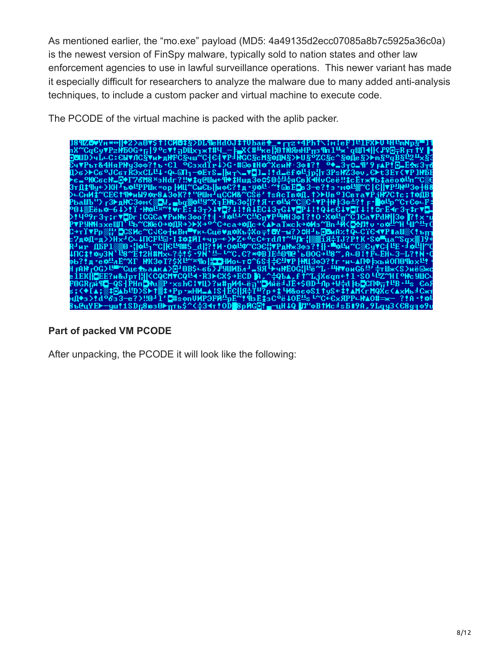As mentioned earlier, the "mo.exe" payload (MD5: 4a49135d2ecc07085a8b7c5925a36c0a) is the newest version of FinSpy malware, typically sold to nation states and other law enforcement agencies to use in lawful surveillance operations. This newer variant has made it especially difficult for researchers to analyze the malware due to many added anti-analysis techniques, to include a custom packer and virtual machine to execute code.

The PCODE of the virtual machine is packed with the aplib packer.



#### **Part of packed VM PCODE**

After unpacking, the PCODE it will look like the following: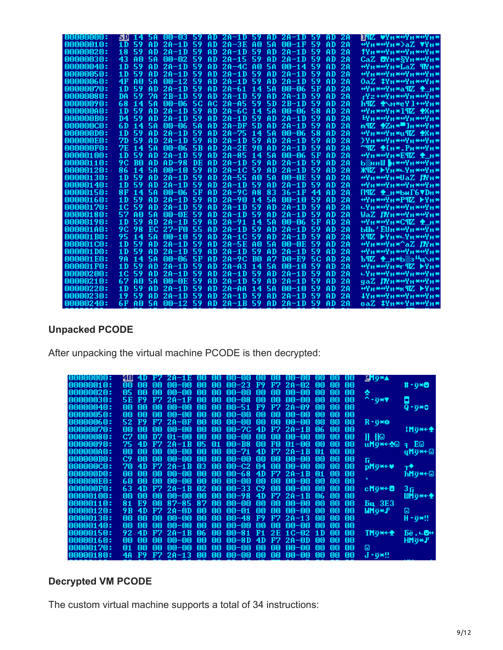| 00000000:        |                      |     | 30 14 5A 00-03 59 AD 2A-1D 59 AD 2A-1D 59 |     |     |                 |             |           |                          |     | AD. | 28 | NNZ ♥Yn*↔Yn*↔Yn*                                                                 |
|------------------|----------------------|-----|-------------------------------------------|-----|-----|-----------------|-------------|-----------|--------------------------|-----|-----|----|----------------------------------------------------------------------------------|
| 00000010:        | 59.<br>1 D.          |     | $AD 2A-1D 59$                             |     |     | AD 2A-3E AO 5A  |             |           | $00-1F$                  | 59  | AD. | 2A | +Yn*+Yn*>aZ \Yn*                                                                 |
| 00000020:        | 59<br>18             | AD. | $2A-1D$                                   | -59 |     | $AD$ $2A-1D$ 59 |             | AD.       | $2A-1D$                  | 59  | AD. | 2A | ↑Yn*+Yn*+Yn*+Yn*                                                                 |
| 00000030:        | 43<br>A0             | 58  | $00 - 02$                                 | -59 | AD. | $2A-155$        |             | AD        | $2A-1D$                  | -59 | AD. | 2A | СаZ @Yн*§Yн*+Yн*                                                                 |
| 00000040:        | 59<br>1 D            | AD  | $2A-1D$                                   | -59 | AD. | $2A-4C$         | -A0         | <b>5A</b> | $00 - 14$                | 59  | AD. | 2A | <u>фУн*фУн*LaZ ¶Yн*</u>                                                          |
| 00000050:        | 59<br>1D.            | AD  | $2A-1D$                                   | 59  | AD. | $2A-1D$ 59      |             | AD.       | $2A-1D$                  | -59 | AD. | 2A | <sub>₩</sub> ү <sub>н</sub> ж₩ү <sub>н</sub> ж₩ү <sub>н</sub> ж₩ү <sub>н</sub> ж |
| 00000060:        | A <sub>0</sub><br>4F | 58  | $00 - 12$                                 | 59  | AD. | $2A-1D59$       |             | AD.       | $2A-1D$                  | 59  | AD. | 2A | ОаZ #Yн**Yн**Yн*                                                                 |
| 00000070:        | 59<br>1D             | AD  | $2A-1D$                                   | 59  | AD. | $2A-61$         | $\sqrt{14}$ | <b>5A</b> | $00 - 06$                | 5F  | AD  | 2A | <del>«Ун∗«Ун∗а</del> ¶ℤ ♠ н∗                                                     |
| 00000080:        | 59<br>DA             | 7A  | $2B-1D$                                   | 59  | AD. | $2A-1D59$       |             | AD.       | $2A-1D$                  | 59  | AD  | 2A | ┲┸╝ <del>╈╕┪╝╗╝╗╝╗╝╕</del>                                                       |
| 00000090:        | 68<br>14             | 58  | 00-06                                     | 5C  | AC. | $2A - A5 59$    |             | 5D        | $2B-1D$                  | 59  | AD  | 2A | h¶Z <del>\$</del> ∖m*eY]+⇔Yn*                                                    |
| <b>OOOOOOAO:</b> | 59<br>1 D            | AD  | $20 - 1D$                                 | 59  | AD. | $2A-6C$ 14      |             | <b>5A</b> | 00-06                    | 58  | AD  | 2A |                                                                                  |
| 000000B0:        | 59<br>D4             | AD  | 2A-1D                                     | 59  | AD. | $2A-1D$ 59      |             | AD.       | $2A-1D$                  | 59  | AD  | 2A | <u>Нұн∗фұн∗фұн∗фұн</u> ∗                                                         |
| 000000000:       | 6 D.<br>-14          | 58  | 00-06                                     | 58  | AD. | $2A-DF$ 5D      |             | AD.       | $2A-1D$                  | 59  | AD  | 2A | m¶Z <del>\$</del> Zh* ]n*+Yn*                                                    |
| 000000D0:        | 59<br>1 D            | AD  | $2A-1D$                                   | 59  | AD  | $2A-75$         | 14          | <b>5A</b> | $00 - 06$                | 58  | AD  | 2A | <u>фУн*фУн*и¶Z ФХн*</u>                                                          |
| 000000E0:        | 7D.<br>59            | AD  | $20 - 1D$                                 | 59  | AD  | $2A-1D$ 59      |             | AD.       | $2A-1D$                  | 59  | AD  | 2A | }Yн <del>×∾</del> Yн <del>×∾</del> Yн <del>×∾</del> Yн*                          |
| 000000F0:        | 7E<br>14             | 58  | 00-06                                     | 5B  | AD  | $2A-2E$         | 90          | AD        | $2A-1D$                  | 59  | AD  | 2A | ~¶Z ♠[н*.Рн*+Чн*                                                                 |
| 00000100:        | 59<br>1 D            | AD  | $2A-1D$                                   | 59  | AD  | $2A-85$         | -14         | <b>5A</b> | $00 - 06$                | 5F  | AD  | 2A | ++Yн*++Yн*Е¶Z ♠ н*                                                               |
| 00000110:        | 9C.<br><b>BO</b>     | AD  | $AD-98$                                   | DE  | AD  | $2A-1D59$       |             | AD.       | $2A-1D$                  | 59  | AD  | 2A | Ь▒ннШ <mark>н**Ун**Ун*</mark>                                                    |
| 00000120:        | 86.<br>14            | 58  | $00 - 10$                                 | 59  | AD  | 2A-1C 59        |             | AD.       | $2A-1D$                  | 59  | AD  | 2A | Ж¶ℤ ┝Yн*⊏Yн*+Yн*                                                                 |
| 00000130:        | 59<br>1 D            | AD  | 2A-1D                                     | 59  | AD  | $2A-55$         | AO          | 58        | $00-0E$                  | 59  | AD  | 2A | +Чн*+Чн*UaZ ЛЧн*                                                                 |
| <b>00000140:</b> | 59<br>1 D            | AD  | 2A-1D                                     | 59  | AD  | $20 - 1D$       | -59         | AD.       | $2A-1D$                  | 59  | AD  | 2A | ₩YH <del>*</del> ₩YH <del>*₩</del> YH <del>*₩</del> YH*                          |
| 00000150:        | 8F<br>14             | 58  | 00-06                                     | 5Ρ  | AD  | 2A-9C A8        |             | 83        | $36 - 1F$                | 44  | AD  | 2A | ПЧИ Ф н*БиГ6∀Дн*                                                                 |
| 00000160:        | 59<br>1 D            | AD  | 2A-1D                                     | 59  | AD  | $2A-9B$         | 14          | 58        | $00 - 10$                | 59  | AD  | 2A | ₩Yn*₩Yn*P¶Z ▶Yn*                                                                 |
| 00000170:        | 59<br>1C             | AD  | 2A-1D                                     | 59  | AD  | $2A-1D$         | -59         | AD        | $2A-1D$                  | 59  | AD  | 2A | <sub>┖</sub> ╿╖╳┅╵╷╳┅╵╷                                                          |
| 00000180:        | 57<br>AO             | 58  | 00-0E                                     | 59  | AD  | $2A-1D59$       |             | AD        | $2A-1D$                  | 59  | AD  | 2A | WaZ ЛYн*⇔Yн*⇔Yн*                                                                 |
| 00000190:        | 59<br>1 D            | AD  | 2A-1D                                     | 59  | AD  | $20 - 91$       | 14          | 5A        | $00 - 06$                | 5Ρ  | AD  | 2A | <del>о</del> Чи <del>хо</del> Чи*С¶Z <del>Ф</del> и*                             |
| 000001A0:        | 98<br>9C             | EC  | 27-F0                                     | 55  | AD  | 2A-1D           | -59         | AD        | $2A-1D$                  | 59  | AD  | 2Α | ЫШь'ЕUн*⇔Yн*⇔Yн*                                                                 |
| 000001B0:        | 95<br>14             | 5Α  | 00-10                                     | 59  | AD  | 2A-1C 59        |             | AD        | $2A-1D$                  | 59  | AD  | 2Α | X¶Z ⊫Yn*∟Yn*⇔Yn*                                                                 |
| 000001C0:        | 59<br>1 D            | AD  | 2A-1D                                     | 59  | AD  | $2A-5E$         | A0          | 5A        | $00-0E$                  | 59  | AD  | 2A | +Чн*+Чн*^аZ ЛЧн*                                                                 |
| 000001D0:        | 1 D<br>59            | AD  | 2A-1D                                     | 59  | AD  | 2A-1D           | 59          | AD        | $20 - 1D$                | 59  | AD  | 2A | <sub>₩</sub> ү <sub>н</sub> жнү <sub>н</sub> жнү <sub>н</sub> жнү <sub>н</sub> ж |
| 000001E0:        | 9A<br>14             | 58  | 00-06                                     | 5F  | AD  | $2A-9C$         | B0          | A7.       | $D0-E9$                  | 5C  | AD  | 2Α | Ъ¶Z <del>Ф</del> _н*Ь▒з╨щ∖н*                                                     |
| 000001F0:        | 59<br>1 D            | AD  | 2A-1D                                     | 59  | AD  | $2A-43$         | 14          | 58        | $00 - 10$                | 59  | AD  | 2A | +Ун*+Ун*г¶Z ▶Yн*                                                                 |
| 00000200:        | 59<br>1C             | AD  | 2A-1D                                     | 59  | AD  | 2A-1D           | -59         | AD.       | $2A-1D$                  | 59  | AD  | 2A | <sub>┖</sub> ╿╖╳┅╵╷╳┅╵╷                                                          |
| 00000210:        | 67<br>AO             | 5Α  | 00-0E                                     | 59  | AD  | $2A-1D59$       |             | AD        | $2A-1D$                  | 59  | AD  | 2A | gaZ Љун <del>×о</del> ун <del>×о</del> ун∗                                       |
| 00000220:        | 1 D<br>59            | AD  | 2A-1D                                     | 59  | AD  | $2A - AA$       | -14         | 5A        | $00 - 10$                | 59  | AD  | 2A | ₩Yн <del>×∪</del> Yн*к¶Z ▶Yн*                                                    |
| 00000230:        | 19<br>59             | AD  | $2A-1D$                                   | 59  | AD  | $2A-1D59$       |             | AD.       | $2A-1D$                  | 59  | AD  | 2A | <sub>╈</sub> ┰┰╒╈╈╂┢ <del>⋇</del>                                                |
| 00000240:        | 6F<br>AO.            | 5A. | $00-12$ 59                                |     | AD. |                 |             |           | $2A-1B$ 59 AD $2A-1D$ 59 |     | AD. | 2A | оаZ ‡Yн*←Yн*⇔Yн*                                                                 |

#### **Unpacked PCODE**

After unpacking the virtual machine PCODE is then decrypted:

| 000000000 | 40  | 4D. | F7. |           |     |    | 2A-1E 00 00 00-00 00 |               | - 00 | 00-00        | - 00 | -00 | -00 | ⊔Мў*≜                 |          |
|-----------|-----|-----|-----|-----------|-----|----|----------------------|---------------|------|--------------|------|-----|-----|-----------------------|----------|
| 00000010: | 00  | 00  | 00  | $00 - 00$ | 00  | 00 | $00 - 23$            | -F9           |      | F7 2A-02     | mm   | 00  | 00  |                       | # • ÿ*B  |
| 00000020: | 05  | 00  | 00  | $00 - 00$ | 00  | 00 | $00 - 00$            | 00            | 00   | $00 - 00$    | 00   | 00  | 00  | ٠                     |          |
| 00000030: | 5Ε  | F9. | F7. | $2A-1F$   | 00  | 00 | $00 - 08$            | 00            | 00   | $00 - 00$    | 00   | 00  | 00  | 4.947                 | ۰        |
| 00000040: | 00  | 00  | 00  | $00 - 00$ | 00  | 00 | $00 - 51$            | F9            |      | $F224-09$    | mm   | mm  | 00  |                       | Q∙ÿ∗o    |
| 00000050: | 00  | 00  | 00  | $00 - 00$ | 00  | 00 | $00 - 00$            | 00            | 00   | $00 - 00$    | 00   | mm  | 00  |                       |          |
| 00000060: | 52. | F9. | F7. | $2A-0F$   | 00  | 00 | $00 - 00$            | 00            | 00   | $00 - 00$    | 00   | 00  | 00  | R-ÿ**                 |          |
| 00000070: | 00  | 00  | 00  | $00 - 00$ | 00  | 00 | $00-7C$              | 4D            |      | $F2 2A-1B$   | 06   | 00  | 00  |                       | IMg*++   |
| 00000080: | C7  | 00  | D7. | $01 - 00$ | 00  | 00 | $00 - 00$            | 00            | 00   | $00 - 00$    | 00   | 00  | 00  | $   \cdot   $         |          |
| 00000090: | 75  | 4D  |     | F7 2A-1B  | -05 | 01 | $00 - B8$            | 00            | FO   | $01 - 00$    | 00   | 00  | 00  | $u$ Mÿ $\ast$ 40 a E0 |          |
| 000000A0: | 00  | 00  | 00  | $00 - 00$ | 00  | 00 | $00 - 71$            | 4D            |      | $F2 2A-1B$   | 01   | 00  | 00  |                       | qMÿ∗←©   |
| 000000B0: | C9. | 00  | 00  | $00 - 00$ | 00  | 00 | $00 - 00$            | 00            | 00   | $00 - 00$    | 00   | 00  | 00  | 6                     |          |
| 000000C0: | 70  | 4D  | F7. | $2A-1B$   | 03  | 00 | $00-C2$              | $\mathbf{04}$ | 00   | $00 - 00$    | 00   | 00  | 00  | pMÿ∗∈♥                | ᠇♥       |
| 000000D0: | 00  | 00  | 00  | $00 - 00$ | 00  | 00 | $00 - 68$            | 4D            |      | $F2 2A-1B$   | 01   | 00  | 00  |                       | hMÿ∗←©   |
| 000000E0: | 60  | 00  | 00  | $00 - 00$ | 00  | 00 | $00 - 00$            | 00            | 00   | $00 - 00$    | 00   | mm  | 00  |                       |          |
| 000000F0: | 63  | 4D  |     | F7 2A-1B  | 02  | 00 | $00 - 33$            | C9            | 00   | $00 - 00$    | 00   | 00  | 00  | сМў∗∈⊠                | 3 मि     |
| 00000100: | 00  | 00  | 00  | $00 - 00$ | 00  | 00 | $00 - 98$            | 4D            |      | $F2 2A-1B$   | -06  | mm  | 00  |                       | WMÿ∗←∳   |
| 00000110: | 81  | E9  | 00  | $87 - 85$ | -87 | 00 | $00 - 00$            | 00            | 00   | $00 - 00$    | 00   | 00  | 00  | Бш 3ЕЗ                |          |
| 00000120: | 9 B | 4D  | F7. | $2A-0D$   | 00  | 00 | $00 - 01$            | 00            | 00   | $00 - 00$    | 00   | mm  | 00  | ЫMğ∗₽                 | Θ        |
| 00000130: | 00  | 00  | 00  | $00 - 00$ | 00  | 00 | $00 - 48$            | F9            |      | $F2 20 - 13$ | 00   | 00  | 00  |                       | H - ÿ*!! |
| 00000140: | 00  | 00  | 00  | $00 - 00$ | 00  | 00 | $00 - 00$            | 00            | 00   | $00 - 00$    | mm   | 面面  | 00  |                       |          |
| 00000150: | 92. | 4D  | F7. | $2A-1B$   | 06  | 00 | $00 - 81$            | F1            |      | $2E$ 1C-02   | -1 D | 00  | 00  | TMỹ*←≜                | Бё.∟Ө+   |
| 00000160: | 00  | 00  | 00  | $00 - 00$ | 00  | 00 | $00 - 8D$            | 4D            |      | $F2 2A-0D$   | 00   | mm  | 00  |                       | HMÿ∗J    |
| 00000170: | 01  | 00  | 00  | $00 - 00$ | 00  | 00 | $00 - 00$            | 00            | 00   | $00 - 00$    | 00   | 00  | 00  | Θ                     |          |
| 00000180: | 4A  | F9  | F7. | $20 - 13$ | 00  | 00 | $00 - 00$            | 00            | 00   | 00-00        | 00   | 00  | 00  | $J - ij*!!$           | -----    |
|           |     |     |     |           |     |    |                      |               |      |              |      |     |     |                       |          |

#### **Decrypted VM PCODE**

The custom virtual machine supports a total of 34 instructions: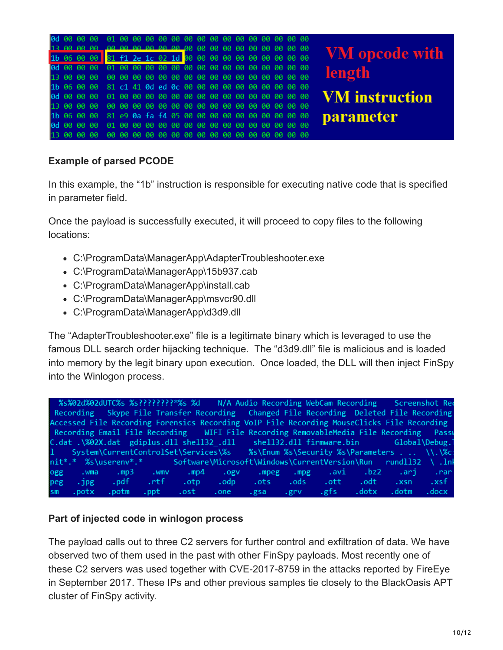|  | 1b 06 00 00 31 f1 2e 1c 02 1d 00 00 00 00 00 00 00 00 00 00 |  |  |  |  |  |  |  |  | <b>VM</b> opcode with |
|--|-------------------------------------------------------------|--|--|--|--|--|--|--|--|-----------------------|
|  |                                                             |  |  |  |  |  |  |  |  |                       |
|  |                                                             |  |  |  |  |  |  |  |  | length                |
|  | 1b 06 00 00 81 c1 41 0d ed 0c 00 00 00 00 00 00 00 00 00 00 |  |  |  |  |  |  |  |  |                       |
|  |                                                             |  |  |  |  |  |  |  |  | <b>VM</b> instruction |
|  |                                                             |  |  |  |  |  |  |  |  |                       |
|  | 1b 06 00 00 81 e9 0a fa f4 05 00 00 00 00 00 00 00 00 00 00 |  |  |  |  |  |  |  |  | <b>parameter</b>      |
|  |                                                             |  |  |  |  |  |  |  |  |                       |
|  |                                                             |  |  |  |  |  |  |  |  |                       |

#### **Example of parsed PCODE**

In this example, the "1b" instruction is responsible for executing native code that is specified in parameter field.

Once the payload is successfully executed, it will proceed to copy files to the following locations:

- C:\ProgramData\ManagerApp\AdapterTroubleshooter.exe
- C:\ProgramData\ManagerApp\15b937.cab
- C:\ProgramData\ManagerApp\install.cab
- C:\ProgramData\ManagerApp\msvcr90.dll
- C:\ProgramData\ManagerApp\d3d9.dll

The "AdapterTroubleshooter.exe" file is a legitimate binary which is leveraged to use the famous DLL search order hijacking technique. The "d3d9.dll" file is malicious and is loaded into memory by the legit binary upon execution. Once loaded, the DLL will then inject FinSpy into the Winlogon process.

|              |                  |       |        | %s%02d%02dUTC%s %s????????*%s %d     |      | N/A Audio Recording WebCam Recording Screenshot Rec                                        |      |        |       |                                             |                |
|--------------|------------------|-------|--------|--------------------------------------|------|--------------------------------------------------------------------------------------------|------|--------|-------|---------------------------------------------|----------------|
|              | Recording        |       |        |                                      |      | Skype File Transfer Recording Changed File Recording Deleted File Recording                |      |        |       |                                             |                |
|              |                  |       |        |                                      |      | Accessed File Recording Forensics Recording VoIP File Recording MouseClicks File Recording |      |        |       |                                             |                |
|              |                  |       |        |                                      |      | Recording Email File Recording MIFI File Recording RemovableMedia File Recording           |      |        |       |                                             | Passy          |
|              |                  |       |        |                                      |      | C.dat.\%02X.dat gdiplus.dll shell32.dll shell32.dll firmware.bin 6lobal\Debug.             |      |        |       |                                             |                |
| $\mathbf{1}$ |                  |       |        | System\CurrentControlSet\Services\%s |      |                                                                                            |      |        |       | %S\Enum %s\Security %s\Parameters. \\.\%c:\ |                |
|              |                  |       |        |                                      |      | Software\Microsoft\Windows\CurrentVersion\Run                                              |      |        |       | rund1132                                    | $\lambda$ . In |
| ogg          | .wma             | .mp3  | . wmv  | .mp4                                 | .ogv | .mpeg                                                                                      | mpg  | .avi - | .bz2  | .ari                                        | .ran           |
| peg          | $\overline{npg}$ | .pdf  | .rtf - | .otp                                 | .odp | .ots                                                                                       | .ods | .ott   | .odt  | .xsn                                        | .xsf           |
| sm           | .potx            | .potm | .ppt - | .ost                                 | .one | .esa                                                                                       | .grv | . gfs  | .dotx | .dotm                                       | . docx         |

#### **Part of injected code in winlogon process**

The payload calls out to three C2 servers for further control and exfiltration of data. We have observed two of them used in the past with other FinSpy payloads. Most recently one of these C2 servers was used together with CVE-2017-8759 in the attacks reported by FireEye in September 2017. These IPs and other previous samples tie closely to the BlackOasis APT cluster of FinSpy activity.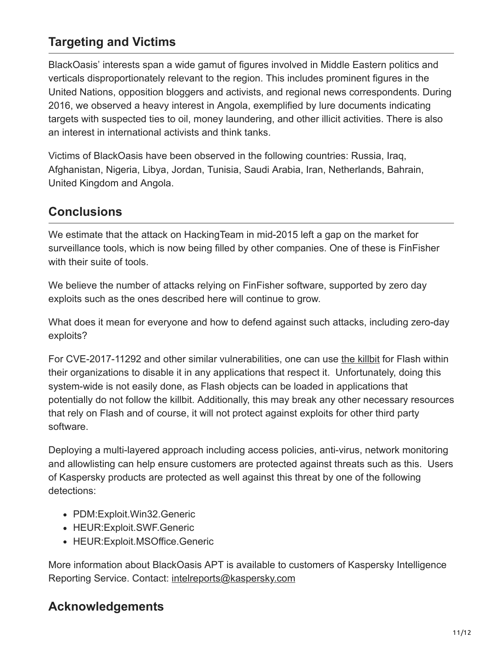## **Targeting and Victims**

BlackOasis' interests span a wide gamut of figures involved in Middle Eastern politics and verticals disproportionately relevant to the region. This includes prominent figures in the United Nations, opposition bloggers and activists, and regional news correspondents. During 2016, we observed a heavy interest in Angola, exemplified by lure documents indicating targets with suspected ties to oil, money laundering, and other illicit activities. There is also an interest in international activists and think tanks.

Victims of BlackOasis have been observed in the following countries: Russia, Iraq, Afghanistan, Nigeria, Libya, Jordan, Tunisia, Saudi Arabia, Iran, Netherlands, Bahrain, United Kingdom and Angola.

## **Conclusions**

We estimate that the attack on HackingTeam in mid-2015 left a gap on the market for surveillance tools, which is now being filled by other companies. One of these is FinFisher with their suite of tools.

We believe the number of attacks relying on FinFisher software, supported by zero day exploits such as the ones described here will continue to grow.

What does it mean for everyone and how to defend against such attacks, including zero-day exploits?

For CVE-2017-11292 and other similar vulnerabilities, one can use [the killbit](https://answers.microsoft.com/en-us/windows/forum/windows_8-update/flashplayer-updates/cd258a3f-cd87-4ea9-bdb6-074d06ad491e?auth=1) for Flash within their organizations to disable it in any applications that respect it. Unfortunately, doing this system-wide is not easily done, as Flash objects can be loaded in applications that potentially do not follow the killbit. Additionally, this may break any other necessary resources that rely on Flash and of course, it will not protect against exploits for other third party software.

Deploying a multi-layered approach including access policies, anti-virus, network monitoring and allowlisting can help ensure customers are protected against threats such as this. Users of Kaspersky products are protected as well against this threat by one of the following detections:

- PDM:Exploit.Win32.Generic
- HEUR:Exploit.SWF.Generic
- HEUR: Exploit. MSOffice. Generic

More information about BlackOasis APT is available to customers of Kaspersky Intelligence Reporting Service. Contact: [intelreports@kaspersky.com](http://10.10.0.46/mailto:intelreports@kaspersky.com)

## **Acknowledgements**